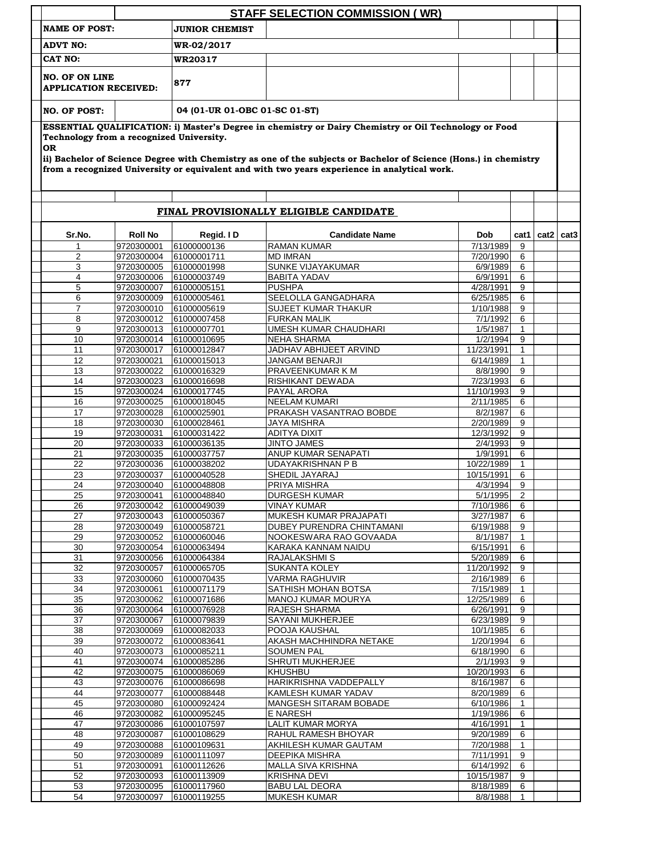|                                                                                                                                                                                                                                                                                                                                                                                    |                          |                               | <b>STAFF SELECTION COMMISSION (WR)</b>          |                        |                   |               |  |
|------------------------------------------------------------------------------------------------------------------------------------------------------------------------------------------------------------------------------------------------------------------------------------------------------------------------------------------------------------------------------------|--------------------------|-------------------------------|-------------------------------------------------|------------------------|-------------------|---------------|--|
| <b>NAME OF POST:</b>                                                                                                                                                                                                                                                                                                                                                               |                          | <b>JUNIOR CHEMIST</b>         |                                                 |                        |                   |               |  |
| <b>ADVT NO:</b>                                                                                                                                                                                                                                                                                                                                                                    |                          | <b>WR-02/2017</b>             |                                                 |                        |                   |               |  |
| CAT NO:                                                                                                                                                                                                                                                                                                                                                                            |                          | WR20317                       |                                                 |                        |                   |               |  |
|                                                                                                                                                                                                                                                                                                                                                                                    |                          |                               |                                                 |                        |                   |               |  |
| <b>NO. OF ON LINE</b><br><b>APPLICATION RECEIVED:</b>                                                                                                                                                                                                                                                                                                                              |                          | 877                           |                                                 |                        |                   |               |  |
| <b>NO. OF POST:</b>                                                                                                                                                                                                                                                                                                                                                                |                          | 04 (01-UR 01-OBC 01-SC 01-ST) |                                                 |                        |                   |               |  |
|                                                                                                                                                                                                                                                                                                                                                                                    |                          |                               |                                                 |                        |                   |               |  |
| ESSENTIAL QUALIFICATION: i) Master's Degree in chemistry or Dairy Chemistry or Oil Technology or Food<br>Technology from a recognized University.<br><b>OR</b><br>ii) Bachelor of Science Degree with Chemistry as one of the subjects or Bachelor of Science (Hons.) in chemistry<br>from a recognized University or equivalent and with two years experience in analytical work. |                          |                               |                                                 |                        |                   |               |  |
|                                                                                                                                                                                                                                                                                                                                                                                    |                          |                               | FINAL PROVISIONALLY ELIGIBLE CANDIDATE          |                        |                   |               |  |
| Sr.No.                                                                                                                                                                                                                                                                                                                                                                             | <b>Roll No</b>           | Regid. ID                     | <b>Candidate Name</b>                           | <b>Dob</b>             | cat1              | $cat2$ $cat3$ |  |
|                                                                                                                                                                                                                                                                                                                                                                                    | 9720300001               | 61000000136                   | <b>RAMAN KUMAR</b>                              | 7/13/1989              | 9                 |               |  |
| $\overline{2}$                                                                                                                                                                                                                                                                                                                                                                     | 9720300004               | 61000001711                   | <b>MD IMRAN</b>                                 | 7/20/1990              | 6                 |               |  |
| 3<br>4                                                                                                                                                                                                                                                                                                                                                                             | 9720300005<br>9720300006 | 61000001998<br>61000003749    | SUNKE VIJAYAKUMAR<br><b>BABITA YADAV</b>        | 6/9/1989<br>6/9/1991   | 6<br>6            |               |  |
| 5                                                                                                                                                                                                                                                                                                                                                                                  | 9720300007               | 61000005151                   | <b>PUSHPA</b>                                   | 4/28/1991              | 9                 |               |  |
| 6                                                                                                                                                                                                                                                                                                                                                                                  | 9720300009               | 61000005461                   | SEELOLLA GANGADHARA                             | 6/25/1985              | 6                 |               |  |
| $\overline{7}$                                                                                                                                                                                                                                                                                                                                                                     | 9720300010               | 61000005619                   | <b>SUJEET KUMAR THAKUR</b>                      | 1/10/1988              | 9                 |               |  |
| 8                                                                                                                                                                                                                                                                                                                                                                                  | 9720300012               | 61000007458                   | <b>FURKAN MALIK</b>                             | 7/1/1992               | 6                 |               |  |
| 9                                                                                                                                                                                                                                                                                                                                                                                  | 9720300013               | 61000007701                   | UMESH KUMAR CHAUDHARI                           | 1/5/1987               | 1                 |               |  |
| 10                                                                                                                                                                                                                                                                                                                                                                                 | 9720300014               | 61000010695                   | <b>NEHA SHARMA</b>                              | 1/2/1994               | 9                 |               |  |
| 11<br>12                                                                                                                                                                                                                                                                                                                                                                           | 9720300017               | 61000012847                   | JADHAV ABHIJEET ARVIND                          | 11/23/1991             | 1<br>$\mathbf{1}$ |               |  |
| 13                                                                                                                                                                                                                                                                                                                                                                                 | 9720300021<br>9720300022 | 61000015013<br>61000016329    | <b>JANGAM BENARJI</b><br>PRAVEENKUMAR K M       | 6/14/1989<br>8/8/1990  | 9                 |               |  |
| 14                                                                                                                                                                                                                                                                                                                                                                                 | 9720300023               | 61000016698                   | RISHIKANT DEWADA                                | 7/23/1993              | 6                 |               |  |
| 15                                                                                                                                                                                                                                                                                                                                                                                 | 9720300024               | 61000017745                   | PAYAL ARORA                                     | 11/10/1993             | 9                 |               |  |
| 16                                                                                                                                                                                                                                                                                                                                                                                 | 9720300025               | 61000018045                   | <b>NEELAM KUMARI</b>                            | 2/11/1985              | 6                 |               |  |
| 17                                                                                                                                                                                                                                                                                                                                                                                 | 9720300028               | 61000025901                   | PRAKASH VASANTRAO BOBDE                         | 8/2/1987               | 6                 |               |  |
| 18                                                                                                                                                                                                                                                                                                                                                                                 | 9720300030               | 61000028461                   | <b>JAYA MISHRA</b>                              | 2/20/1989              | 9                 |               |  |
| 19                                                                                                                                                                                                                                                                                                                                                                                 | 9720300031               | 61000031422                   | ADITYA DIXIT                                    | 12/3/1992              | 9                 |               |  |
| 20                                                                                                                                                                                                                                                                                                                                                                                 | 9720300033<br>9720300035 | 61000036135                   | <b>JINTO JAMES</b>                              | 2/4/1993               | 9                 |               |  |
| 21<br>22                                                                                                                                                                                                                                                                                                                                                                           | 9720300036               | 61000037757<br>61000038202    | ANUP KUMAR SENAPATI<br><b>UDAYAKRISHNAN P B</b> | 1/9/1991<br>10/22/1989 | 6<br>$\mathbf{1}$ |               |  |
| 23                                                                                                                                                                                                                                                                                                                                                                                 | 9720300037               | 61000040528                   | SHEDIL JAYARAJ                                  | 10/15/1991             | 6                 |               |  |
| 24                                                                                                                                                                                                                                                                                                                                                                                 | 9720300040               | 61000048808                   | PRIYA MISHRA                                    | 4/3/1994               | 9                 |               |  |
| 25                                                                                                                                                                                                                                                                                                                                                                                 | 9720300041               | 61000048840                   | <b>DURGESH KUMAR</b>                            | 5/1/1995               | 2                 |               |  |
| 26                                                                                                                                                                                                                                                                                                                                                                                 | 9720300042               | 61000049039                   | <b>VINAY KUMAR</b>                              | 7/10/1986              | 6                 |               |  |
| 27                                                                                                                                                                                                                                                                                                                                                                                 | 9720300043               | 61000050367                   | MUKESH KUMAR PRAJAPATI                          | 3/27/1987              | 6                 |               |  |
| 28                                                                                                                                                                                                                                                                                                                                                                                 | 9720300049               | 61000058721                   | DUBEY PURENDRA CHINTAMANI                       | 6/19/1988              | 9                 |               |  |
| 29                                                                                                                                                                                                                                                                                                                                                                                 | 9720300052               | 61000060046                   | NOOKESWARA RAO GOVAADA                          | 8/1/1987               | 1                 |               |  |
| 30<br>31                                                                                                                                                                                                                                                                                                                                                                           | 9720300054<br>9720300056 | 61000063494<br>61000064384    | KARAKA KANNAM NAIDU<br>RAJALAKSHMI S            | 6/15/1991<br>5/20/1989 | 6<br>6            |               |  |
| 32                                                                                                                                                                                                                                                                                                                                                                                 | 9720300057               | 61000065705                   | <b>SUKANTA KOLEY</b>                            | 11/20/1992             | 9                 |               |  |
| 33                                                                                                                                                                                                                                                                                                                                                                                 | 9720300060               | 61000070435                   | <b>VARMA RAGHUVIR</b>                           | 2/16/1989              | 6                 |               |  |
| 34                                                                                                                                                                                                                                                                                                                                                                                 | 9720300061               | 61000071179                   | SATHISH MOHAN BOTSA                             | 7/15/1989              | 1                 |               |  |
| 35                                                                                                                                                                                                                                                                                                                                                                                 | 9720300062               | 61000071686                   | <b>MANOJ KUMAR MOURYA</b>                       | 12/25/1989             | 6                 |               |  |
| 36                                                                                                                                                                                                                                                                                                                                                                                 | 9720300064               | 61000076928                   | RAJESH SHARMA                                   | 6/26/1991              | 9                 |               |  |
| 37                                                                                                                                                                                                                                                                                                                                                                                 | 9720300067               | 61000079839                   | SAYANI MUKHERJEE                                | 6/23/1989              | 9                 |               |  |
| 38<br>39                                                                                                                                                                                                                                                                                                                                                                           | 9720300069<br>9720300072 | 61000082033<br>61000083641    | POOJA KAUSHAL<br>AKASH MACHHINDRA NETAKE        | 10/1/1985<br>1/20/1994 | 6<br>6            |               |  |
| 40                                                                                                                                                                                                                                                                                                                                                                                 | 9720300073               | 61000085211                   | <b>SOUMEN PAL</b>                               | 6/18/1990              | 6                 |               |  |
| 41                                                                                                                                                                                                                                                                                                                                                                                 | 9720300074               | 61000085286                   | SHRUTI MUKHERJEE                                | 2/1/1993               | 9                 |               |  |
| 42                                                                                                                                                                                                                                                                                                                                                                                 | 9720300075               | 61000086069                   | KHUSHBU                                         | 10/20/1993             | 6                 |               |  |
| 43                                                                                                                                                                                                                                                                                                                                                                                 | 9720300076               | 61000086698                   | HARIKRISHNA VADDEPALLY                          | 8/16/1987              | 6                 |               |  |
| 44                                                                                                                                                                                                                                                                                                                                                                                 | 9720300077               | 61000088448                   | KAMLESH KUMAR YADAV                             | 8/20/1989              | 6                 |               |  |
| 45                                                                                                                                                                                                                                                                                                                                                                                 | 9720300080               | 61000092424                   | <b>MANGESH SITARAM BOBADE</b>                   | 6/10/1986              | 1                 |               |  |
| 46                                                                                                                                                                                                                                                                                                                                                                                 | 9720300082               | 61000095245                   | E NARESH                                        | 1/19/1986              | 6                 |               |  |
| 47                                                                                                                                                                                                                                                                                                                                                                                 | 9720300086               | 61000107597                   | <b>LALIT KUMAR MORYA</b>                        | 4/16/1991              | $\mathbf{1}$      |               |  |
| 48<br>49                                                                                                                                                                                                                                                                                                                                                                           | 9720300087<br>9720300088 | 61000108629<br>61000109631    | RAHUL RAMESH BHOYAR<br>AKHILESH KUMAR GAUTAM    | 9/20/1989<br>7/20/1988 | 6<br>1            |               |  |
| 50                                                                                                                                                                                                                                                                                                                                                                                 | 9720300089               | 61000111097                   | <b>DEEPIKA MISHRA</b>                           | 7/11/1991              | 9                 |               |  |
| 51                                                                                                                                                                                                                                                                                                                                                                                 | 9720300091               | 61000112626                   | MALLA SIVA KRISHNA                              | 6/14/1992              | 6                 |               |  |
| 52                                                                                                                                                                                                                                                                                                                                                                                 | 9720300093               | 61000113909                   | <b>KRISHNA DEVI</b>                             | 10/15/1987             | 9                 |               |  |
| 53                                                                                                                                                                                                                                                                                                                                                                                 | 9720300095               | 61000117960                   | <b>BABU LAL DEORA</b>                           | 8/18/1989              | 6                 |               |  |
| 54                                                                                                                                                                                                                                                                                                                                                                                 | 9720300097               | 61000119255                   | <b>MUKESH KUMAR</b>                             | 8/8/1988               | 1                 |               |  |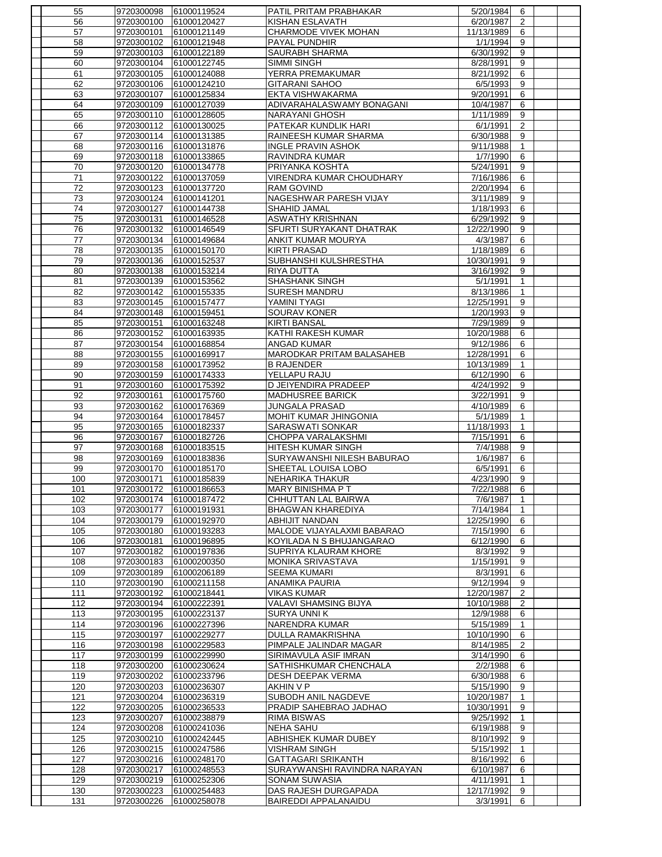| 55         | 9720300098               | 61000119524                | PATIL PRITAM PRABHAKAR                              | 5/20/1984               | 6                 |  |
|------------|--------------------------|----------------------------|-----------------------------------------------------|-------------------------|-------------------|--|
| 56         | 9720300100               | 61000120427                | KISHAN ESLAVATH                                     | 6/20/1987               | 2                 |  |
| 57         | 9720300101               | 61000121149                | CHARMODE VIVEK MOHAN                                | 11/13/1989              | 6                 |  |
| 58         | 9720300102               | 61000121948                | <b>PAYAL PUNDHIR</b>                                | 1/1/1994                | 9                 |  |
| 59         | 9720300103               | 61000122189                | <b>SAURABH SHARMA</b>                               | 6/30/1992               | 9                 |  |
| 60         | 9720300104               | 61000122745                | <b>SIMMI SINGH</b>                                  | 8/28/1991               | 9                 |  |
| 61         | 9720300105               | 61000124088                | YERRA PREMAKUMAR                                    | 8/21/1992               | 6                 |  |
| 62         | 9720300106               | 61000124210                | <b>GITARANI SAHOO</b>                               | 6/5/1993                | 9                 |  |
| 63         | 9720300107               | 61000125834                | EKTA VISHWAKARMA                                    | 9/20/1991               | 6                 |  |
| 64         | 9720300109               | 61000127039                | ADIVARAHALASWAMY BONAGANI                           | 10/4/1987               | 6                 |  |
| 65         | 9720300110               | 61000128605                | NARAYANI GHOSH                                      | 1/11/1989               | 9                 |  |
| 66         | 9720300112               | 61000130025                | PATEKAR KUNDLIK HARI                                | 6/1/1991                | 2                 |  |
| 67         | 9720300114               | 61000131385                | RAINEESH KUMAR SHARMA                               | 6/30/1988               | 9                 |  |
| 68         | 9720300116               | 61000131876                | INGLE PRAVIN ASHOK                                  | 9/11/1988               | $\mathbf{1}$      |  |
| 69         | 9720300118               | 61000133865                | RAVINDRA KUMAR                                      | 1/7/1990                | 6                 |  |
| 70         | 9720300120               | 61000134778                | PRIYANKA KOSHTA                                     | 5/24/1991               | 9                 |  |
| 71         | 9720300122               | 61000137059                | VIRENDRA KUMAR CHOUDHARY                            | 7/16/1986               | 6                 |  |
| 72         | 9720300123               | 61000137720                | RAM GOVIND                                          | 2/20/1994               | 6                 |  |
| 73         | 9720300124               | 61000141201                | NAGESHWAR PARESH VIJAY                              | 3/11/1989               | 9                 |  |
| 74         | 9720300127               | 61000144738                | SHAHID JAMAL                                        | 1/18/1993               | 6                 |  |
| 75         | 9720300131               | 61000146528                | <b>ASWATHY KRISHNAN</b>                             | 6/29/1992               | 9                 |  |
| 76         | 9720300132               | 61000146549                | SFURTI SURYAKANT DHATRAK                            | 12/22/1990              | 9                 |  |
| 77         | 9720300134               | 61000149684                | <b>ANKIT KUMAR MOURYA</b>                           | 4/3/1987                | 6                 |  |
| 78         | 9720300135               | 61000150170                | <b>KIRTI PRASAD</b>                                 | 1/18/1989               | 6                 |  |
| 79         | 9720300136               | 61000152537                | SUBHANSHI KULSHRESTHA                               | 10/30/1991              | 9                 |  |
| 80         | 9720300138               | 61000153214                | <b>RIYA DUTTA</b>                                   | 3/16/1992               | 9                 |  |
| 81         | 9720300139               | 61000153562                | <b>SHASHANK SINGH</b>                               | 5/1/1991                | $\mathbf{1}$      |  |
| 82         | 9720300142               | 61000155335<br>61000157477 | <b>SURESH MANDRU</b><br>YAMINI TYAGI                | 8/13/1986<br>12/25/1991 | $\mathbf{1}$<br>9 |  |
| 83<br>84   | 9720300145<br>9720300148 |                            | <b>SOURAV KONER</b>                                 | 1/20/1993               | 9                 |  |
| 85         | 9720300151               | 61000159451<br>61000163248 | <b>KIRTI BANSAL</b>                                 | 7/29/1989               | 9                 |  |
| 86         | 9720300152               | 61000163935                | KATHI RAKESH KUMAR                                  | 10/20/1988              | 6                 |  |
| 87         | 9720300154               | 61000168854                | <b>ANGAD KUMAR</b>                                  | 9/12/1986               | 6                 |  |
| 88         | 9720300155               | 61000169917                | <b>MARODKAR PRITAM BALASAHEB</b>                    | 12/28/1991              | 6                 |  |
| 89         | 9720300158               | 61000173952                | <b>B RAJENDER</b>                                   | 10/13/1989              | $\mathbf{1}$      |  |
| 90         | 9720300159               | 61000174333                | YELLAPU RAJU                                        | 6/12/1990               | 6                 |  |
| 91         | 9720300160               | 61000175392                | D JEIYENDIRA PRADEEP                                | 4/24/1992               | 9                 |  |
| 92         | 9720300161               | 61000175760                | <b>MADHUSREE BARICK</b>                             | 3/22/1991               | 9                 |  |
| 93         | 9720300162               | 61000176369                | <b>JUNGALA PRASAD</b>                               | 4/10/1989               | 6                 |  |
| 94         | 9720300164               | 61000178457                | MOHIT KUMAR JHINGONIA                               | 5/1/1989                | $\mathbf{1}$      |  |
| 95         | 9720300165               | 61000182337                | <b>SARASWATI SONKAR</b>                             | 11/18/1993              | $\mathbf{1}$      |  |
| 96         | 9720300167               | 61000182726                | CHOPPA VARALAKSHMI                                  | 7/15/1991               | 6                 |  |
| 97         | 9720300168               | 61000183515                | <b>HITESH KUMAR SINGH</b>                           | 7/4/1988                | 9                 |  |
| 98         | 9720300169               | 61000183836                | SURYAWANSHI NILESH BABURAO                          | 1/6/1987                | 6                 |  |
| 99         | 9720300170               | 61000185170                | SHEETAL LOUISA LOBO                                 | 6/5/1991                | 6                 |  |
| 100        | 9720300171               | 61000185839                | NEHARIKA THAKUR                                     | 4/23/1990               | 9                 |  |
| 101        | 9720300172               | 61000186653                | <b>MARY BINISHMA P T</b>                            | 7/22/1988               | 6                 |  |
| 102        | 9720300174               | 61000187472                | CHHUTTAN LAL BAIRWA                                 | 7/6/1987                | $\mathbf{1}$      |  |
| 103        | 9720300177               | 61000191931                | <b>BHAGWAN KHAREDIYA</b>                            | 7/14/1984               | $\mathbf{1}$      |  |
| 104        | 9720300179               | 61000192970                | <b>ABHIJIT NANDAN</b>                               | 12/25/1990              | 6                 |  |
| 105        | 9720300180               | 61000193283                | MALODE VIJAYALAXMI BABARAO                          | 7/15/1990               | 6                 |  |
| 106        | 9720300181               | 61000196895                | KOYILADA N S BHUJANGARAO                            | 6/12/1990               | 6                 |  |
| 107        | 9720300182               | 61000197836                | SUPRIYA KLAURAM KHORE                               | 8/3/1992                | 9                 |  |
| 108        | 9720300183               | 61000200350                | <b>MONIKA SRIVASTAVA</b>                            | 1/15/1991               | 9                 |  |
| 109        | 9720300189               | 61000206189                | <b>SEEMA KUMARI</b>                                 | 8/3/1991                | 6                 |  |
| 110        | 9720300190               | 61000211158                | <b>ANAMIKA PAURIA</b>                               | 9/12/1994               | 9                 |  |
| 111        | 9720300192               | 61000218441                | <b>VIKAS KUMAR</b>                                  | 12/20/1987              | 2                 |  |
| 112        | 9720300194               | 61000222391                | VALAVI SHAMSING BIJYA                               | 10/10/1988              | 2                 |  |
| 113        | 9720300195               | 61000223137                | <b>SURYA UNNIK</b>                                  | 12/9/1988               | 6                 |  |
| 114        | 9720300196               | 61000227396                | NARENDRA KUMAR                                      | 5/15/1989               | $\mathbf{1}$      |  |
| 115        | 9720300197               | 61000229277                | <b>DULLA RAMAKRISHNA</b>                            | 10/10/1990              | 6                 |  |
| 116        | 9720300198               | 61000229583                | PIMPALE JALINDAR MAGAR                              | 8/14/1985               | 2                 |  |
| 117        | 9720300199               | 61000229990                | SIRIMAVULA ASIF IMRAN                               | 3/14/1990               | 6                 |  |
| 118        | 9720300200               | 61000230624                | SATHISHKUMAR CHENCHALA                              | 2/2/1988                | 6                 |  |
| 119        | 9720300202               | 61000233796                | <b>DESH DEEPAK VERMA</b>                            | 6/30/1988               | 6                 |  |
| 120        | 9720300203               | 61000236307                | AKHIN V P                                           | 5/15/1990               | 9                 |  |
| 121        | 9720300204               | 61000236319                | SUBODH ANIL NAGDEVE                                 | 10/20/1987              | $\mathbf{1}$      |  |
| 122        |                          | 61000236533                | PRADIP SAHEBRAO JADHAO                              | 10/30/1991              | 9                 |  |
|            | 9720300205               |                            |                                                     |                         |                   |  |
| 123        | 9720300207               | 61000238879                | <b>RIMA BISWAS</b>                                  | 9/25/1992               | $\mathbf{1}$      |  |
| 124        | 9720300208               | 61000241036                | <b>NEHA SAHU</b>                                    | 6/19/1988               | 9                 |  |
| 125        | 9720300210               | 61000242445                | ABHISHEK KUMAR DUBEY                                | 8/10/1992               | 9                 |  |
| 126        | 9720300215               | 61000247586                | <b>VISHRAM SINGH</b>                                | 5/15/1992               | 1                 |  |
| 127        | 9720300216               | 61000248170                | <b>GATTAGARI SRIKANTH</b>                           | 8/16/1992               | 6                 |  |
| 128        | 9720300217               | 61000248553                | SURAYWANSHI RAVINDRA NARAYAN                        | 6/10/1987               | 6                 |  |
| 129        | 9720300219               | 61000252306                | <b>SONAM SUWASIA</b>                                | 4/11/1991               | $\mathbf{1}$      |  |
| 130<br>131 | 9720300223<br>9720300226 | 61000254483<br>61000258078 | DAS RAJESH DURGAPADA<br><b>BAIREDDI APPALANAIDU</b> | 12/17/1992<br>3/3/1991  | 9<br>6            |  |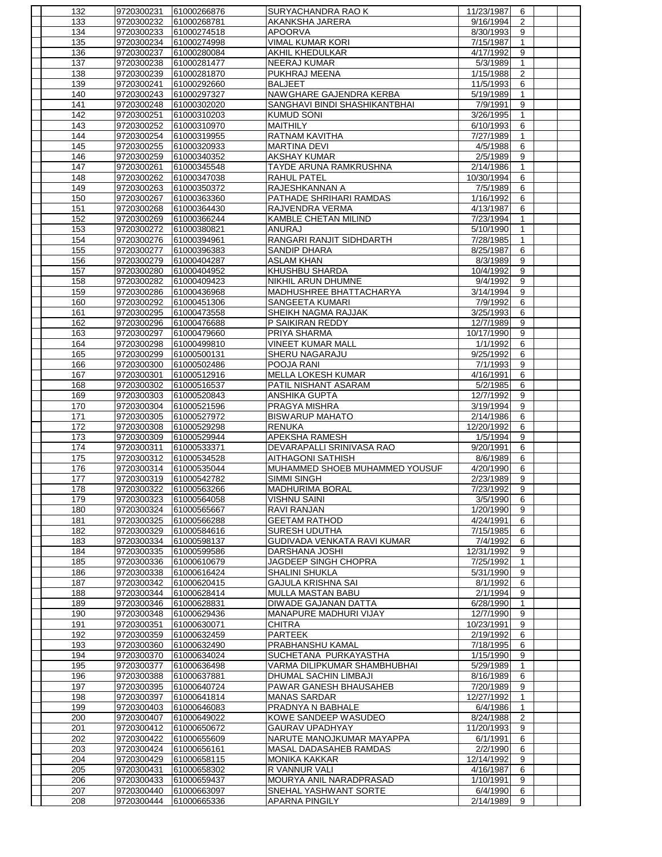|            | 9720300231               | 61000266876                | SURYACHANDRA RAO K                             | 11/23/1987            | 6            |  |
|------------|--------------------------|----------------------------|------------------------------------------------|-----------------------|--------------|--|
| 133        | 9720300232               | 61000268781                | AKANKSHA JARERA                                | 9/16/1994             | 2            |  |
| 134        | 9720300233               | 61000274518                | <b>APOORVA</b>                                 | 8/30/1993             | 9            |  |
| 135        | 9720300234               | 61000274998                | <b>VIMAL KUMAR KORI</b>                        | 7/15/1987             | $\mathbf{1}$ |  |
| 136        | 9720300237               | 61000280084                | AKHIL KHEDULKAR                                | 4/17/1992             | 9            |  |
| 137        | 9720300238               | 61000281477                | <b>NEERAJ KUMAR</b>                            | 5/3/1989              | $\mathbf{1}$ |  |
| 138        | 9720300239               | 61000281870                | PUKHRAJ MEENA                                  | 1/15/1988             | 2            |  |
| 139        | 9720300241               | 61000292660                | <b>BALJEET</b>                                 | 11/5/1993             | 6            |  |
|            |                          |                            |                                                |                       |              |  |
| 140        | 9720300243               | 61000297327                | NAWGHARE GAJENDRA KERBA                        | 5/19/1989             | $\mathbf{1}$ |  |
| 141        | 9720300248               | 61000302020                | SANGHAVI BINDI SHASHIKANTBHAI                  | 7/9/1991              | 9            |  |
| 142        | 9720300251               | 61000310203                | <b>KUMUD SONI</b>                              | 3/26/1995             | $\mathbf{1}$ |  |
| 143        | 9720300252               | 61000310970                | <b>MAITHILY</b>                                | 6/10/1993             | 6            |  |
| 144        | 9720300254               | 61000319955                | RATNAM KAVITHA                                 | 7/27/1989             | 1            |  |
| 145        | 9720300255               | 61000320933                | <b>MARTINA DEVI</b>                            | 4/5/1988              | 6            |  |
| 146        | 9720300259               | 61000340352                | <b>AKSHAY KUMAR</b>                            | 2/5/1989              | 9            |  |
| 147        | 9720300261               | 61000345548                | TAYDE ARUNA RAMKRUSHNA                         | 2/14/1986             | $\mathbf{1}$ |  |
| 148        | 9720300262               | 61000347038                | <b>RAHUL PATEL</b>                             | 10/30/1994            | 6            |  |
|            |                          |                            |                                                |                       |              |  |
| 149        | 9720300263               | 61000350372                | RAJESHKANNAN A                                 | 7/5/1989              | 6            |  |
| 150        | 9720300267               | 61000363360                | PATHADE SHRIHARI RAMDAS                        | 1/16/1992             | 6            |  |
| 151        | 9720300268               | 61000364430                | RAJVENDRA VERMA                                | 4/13/1987             | 6            |  |
| 152        | 9720300269               | 61000366244                | KAMBLE CHETAN MILIND                           | 7/23/1994             | $\mathbf{1}$ |  |
| 153        | 9720300272               | 61000380821                | ANURAJ                                         | 5/10/1990             | 1            |  |
| 154        | 9720300276               | 61000394961                | RANGARI RANJIT SIDHDARTH                       | 7/28/1985             | 1            |  |
| 155        | 9720300277               | 61000396383                | <b>SANDIP DHARA</b>                            | 8/25/1987             | 6            |  |
| 156        | 9720300279               | 61000404287                | <b>ASLAM KHAN</b>                              | 8/3/1989              | 9            |  |
| 157        | 9720300280               | 61000404952                | KHUSHBU SHARDA                                 | 10/4/1992             | 9            |  |
|            |                          |                            |                                                | 9/4/1992              |              |  |
| 158        | 9720300282               | 61000409423                | NIKHIL ARUN DHUMNE                             |                       | 9            |  |
| 159        | 9720300286               | 61000436968                | MADHUSHREE BHATTACHARYA                        | 3/14/1994             | 9            |  |
| 160        | 9720300292               | 61000451306                | <b>SANGEETA KUMARI</b>                         | 7/9/1992              | 6            |  |
| 161        | 9720300295               | 61000473558                | SHEIKH NAGMA RAJJAK                            | 3/25/1993             | 6            |  |
| 162        | 9720300296               | 61000476688                | P SAIKIRAN REDDY                               | 12/7/1989             | 9            |  |
| 163        | 9720300297               | 61000479660                | PRIYA SHARMA                                   | 10/17/1990            | 9            |  |
| 164        | 9720300298               | 61000499810                | <b>VINEET KUMAR MALL</b>                       | 1/1/1992              | 6            |  |
| 165        | 9720300299               | 61000500131                | SHERU NAGARAJU                                 | 9/25/1992             | 6            |  |
| 166        | 9720300300               | 61000502486                | POOJA RANI                                     | 7/1/1993              | 9            |  |
| 167        | 9720300301               | 61000512916                | <b>MELLA LOKESH KUMAR</b>                      | 4/16/1991             | 6            |  |
|            |                          |                            |                                                |                       |              |  |
| 168        | 9720300302               | 61000516537                | PATIL NISHANT ASARAM                           | 5/2/1985              | 6            |  |
| 169        | 9720300303               | 61000520843                | <b>ANSHIKA GUPTA</b>                           | 12/7/1992             | 9            |  |
| 170        | 9720300304               | 61000521596                | PRAGYA MISHRA                                  | 3/19/1994             | 9            |  |
| 171        | 9720300305               | 61000527972                | <b>BISWARUP MAHATO</b>                         | 2/14/1986             | 6            |  |
| 172        | 9720300308               | 61000529298                | <b>RENUKA</b>                                  | 12/20/1992            | 6            |  |
| 173        | 9720300309               | 61000529944                | APEKSHA RAMESH                                 | 1/5/1994              | 9            |  |
| 174        | 9720300311               | 61000533371                | DEVARAPALLI SRINIVASA RAO                      | 9/20/1991             | 6            |  |
| 175        | 9720300312               | 61000534528                | AITHAGONI SATHISH                              | 8/6/1989              | 6            |  |
| 176        |                          | 61000535044                | MUHAMMED SHOEB MUHAMMED YOUSUF                 | 4/20/1990             |              |  |
|            |                          |                            |                                                |                       |              |  |
|            | 9720300314               |                            |                                                |                       | 6            |  |
| 177        | 9720300319               | 61000542782                | <b>SIMMI SINGH</b>                             | 2/23/1989             | 9            |  |
| 178        | 9720300322               | 61000563266                | <b>MADHURIMA BORAL</b>                         | 7/23/1992             | 9            |  |
| 179        | 9720300323               | 61000564058                | <b>VISHNU SAINI</b>                            | 3/5/1990              | 6            |  |
| 180        | 9720300324               | 61000565667                | RAVI RANJAN                                    | 1/20/1990             | 9            |  |
| 181        | 9720300325               | 61000566288                | <b>GEETAM RATHOD</b>                           | 4/24/1991             | 6            |  |
| 182        | 9720300329               | 61000584616                | <b>SURESH UDUTHA</b>                           | 7/15/1985             | 6            |  |
|            |                          |                            |                                                |                       |              |  |
| 183        | 9720300334               | 61000598137                | GUDIVADA VENKATA RAVI KUMAR                    | 7/4/1992              | 6            |  |
| 184        | 9720300335               | 61000599586                | DARSHANA JOSHI                                 | 12/31/1992            | 9            |  |
| 185        | 9720300336               | 61000610679                | JAGDEEP SINGH CHOPRA                           | 7/25/1992             | $\mathbf{1}$ |  |
| 186        | 9720300338               | 61000616424                | SHALINI SHUKLA                                 | 5/31/1990             | 9            |  |
| 187        | 9720300342               | 61000620415                | GAJULA KRISHNA SAI                             | 8/1/1992              | 6            |  |
| 188        | 9720300344               | 61000628414                | MULLA MASTAN BABU                              | $2/\overline{1/1994}$ | 9            |  |
| 189        | 9720300346               | 61000628831                | DIWADE GAJANAN DATTA                           | 6/28/1990             | $\mathbf{1}$ |  |
| 190        | 9720300348               | 61000629436                | MANAPURE MADHURI VIJAY                         | 12/7/1990             | 9            |  |
| 191        | 9720300351               | 61000630071                | <b>CHITRA</b>                                  | 10/23/1991            | 9            |  |
| 192        | 9720300359               | 61000632459                | <b>PARTEEK</b>                                 | 2/19/1992             | 6            |  |
| 193        | 9720300360               | 61000632490                | PRABHANSHU KAMAL                               | 7/18/1995             | 6            |  |
|            |                          |                            |                                                |                       |              |  |
| 194        | 9720300370               | 61000634024                | SUCHETANA PURKAYASTHA                          | 1/15/1990             | 9            |  |
| 195        | 9720300377               | 61000636498                | VARMA DILIPKUMAR SHAMBHUBHAI                   | 5/29/1989             | $\mathbf{1}$ |  |
| 196        | 9720300388               | 61000637881                | DHUMAL SACHIN LIMBAJI                          | 8/16/1989             | 6            |  |
| 197        | 9720300395               | 61000640724                | PAWAR GANESH BHAUSAHEB                         | 7/20/1989             | 9            |  |
| 198        | 9720300397               | 61000641814                | <b>MANAS SARDAR</b>                            | 12/27/1992            | $\mathbf{1}$ |  |
| 199        | 9720300403               | 61000646083                | PRADNYA N BABHALE                              | 6/4/1986              | $\mathbf{1}$ |  |
| 200        | 9720300407               | 61000649022                | KOWE SANDEEP WASUDEO                           | 8/24/1988             | 2            |  |
| 201        | 9720300412               | 61000650672                | <b>GAURAV UPADHYAY</b>                         | 11/20/1993            | 9            |  |
| 202        | 9720300422               | 61000655609                | NARUTE MANOJKUMAR MAYAPPA                      | 6/1/1991              | 6            |  |
| 203        | 9720300424               | 61000656161                | MASAL DADASAHEB RAMDAS                         | 2/2/1990              | 6            |  |
|            |                          |                            |                                                |                       |              |  |
| 204        | 9720300429               | 61000658115                | <b>MONIKA KAKKAR</b>                           | 12/14/1992            | 9            |  |
| 205        | 9720300431               | 61000658302                | R VANNUR VALI                                  | 4/16/1987             | 6            |  |
| 206        | 9720300433               | 61000659437                | MOURYA ANIL NARADPRASAD                        | 1/10/1991             | 9            |  |
| 207<br>208 | 9720300440<br>9720300444 | 61000663097<br>61000665336 | SNEHAL YASHWANT SORTE<br><b>APARNA PINGILY</b> | 6/4/1990<br>2/14/1989 | 6<br>9       |  |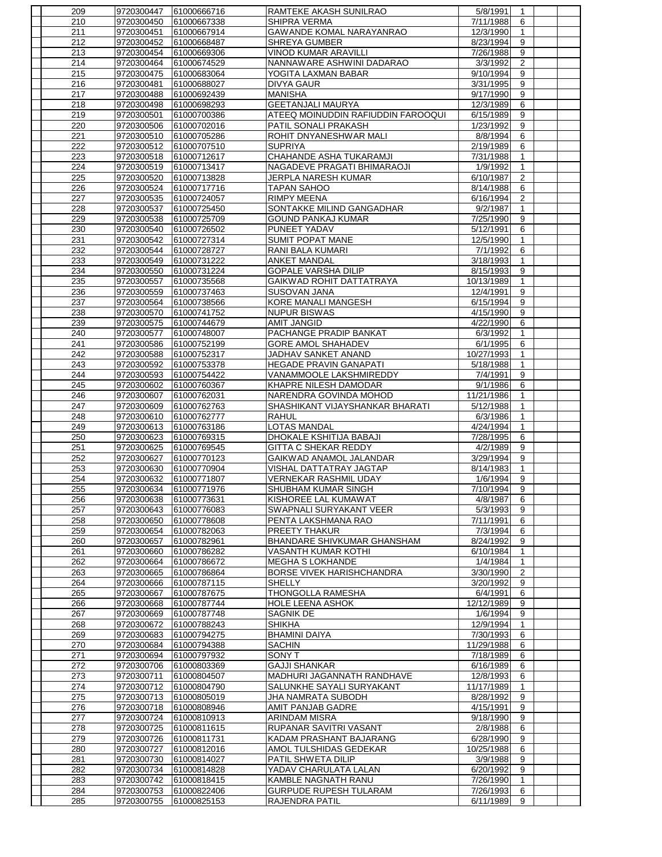| 209        | 9720300447               | 61000666716                | RAMTEKE AKASH SUNILRAO                    | 5/8/1991               | 1            |  |
|------------|--------------------------|----------------------------|-------------------------------------------|------------------------|--------------|--|
| 210        | 9720300450               | 61000667338                | SHIPRA VERMA                              | 7/11/1988              | 6            |  |
| 211        | 9720300451               | 61000667914                | GAWANDE KOMAL NARAYANRAO                  | 12/3/1990              | 1            |  |
| 212        | 9720300452               | 61000668487                | <b>SHREYA GUMBER</b>                      | 8/23/1994              | 9            |  |
| 213        | 9720300454               | 61000669306                | <b>VINOD KUMAR ARAVILLI</b>               | 7/26/1988              | 9            |  |
| 214        | 9720300464               | 61000674529                | NANNAWARE ASHWINI DADARAO                 | 3/3/1992               | 2            |  |
| 215        | 9720300475               | 61000683064                | YOGITA LAXMAN BABAR                       | 9/10/1994              | 9            |  |
| 216        | 9720300481               | 61000688027                | <b>DIVYA GAUR</b>                         | 3/31/1995              | 9            |  |
| 217        | 9720300488               | 61000692439                | <b>MANISHA</b>                            | 9/17/1990              | 9            |  |
| 218        | 9720300498               | 61000698293                | <b>GEETANJALI MAURYA</b>                  | 12/3/1989              | 6            |  |
| 219        | 9720300501               | 61000700386                | ATEEQ MOINUDDIN RAFIUDDIN FAROOQUI        | 6/15/1989              | 9            |  |
| 220        | 9720300506               | 61000702016                | PATIL SONALI PRAKASH                      | 1/23/1992              | 9            |  |
| 221        | 9720300510               | 61000705286                | ROHIT DNYANESHWAR MALI                    | 8/8/1994               | 6            |  |
| 222        | 9720300512               | 61000707510                | <b>SUPRIYA</b>                            | 2/19/1989              | 6            |  |
| 223        | 9720300518               | 61000712617                | CHAHANDE ASHA TUKARAMJI                   | 7/31/1988              | $\mathbf{1}$ |  |
| 224        | 9720300519               | 61000713417                | NAGADEVE PRAGATI BHIMARAOJI               | 1/9/1992               | $\mathbf{1}$ |  |
| 225        | 9720300520               | 61000713828                | JERPLA NARESH KUMAR                       | 6/10/1987              | 2            |  |
| 226        | 9720300524               | 61000717716                | <b>TAPAN SAHOO</b>                        | 8/14/1988              | 6            |  |
| 227        | 9720300535               | 61000724057                | <b>RIMPY MEENA</b>                        | 6/16/1994              | 2            |  |
| 228        | 9720300537               | 61000725450                | SONTAKKE MILIND GANGADHAR                 | 9/2/1987               | $\mathbf{1}$ |  |
| 229        | 9720300538               | 61000725709                | <b>GOUND PANKAJ KUMAR</b>                 | 7/25/1990              | 9            |  |
| 230        | 9720300540               | 61000726502                | PUNEET YADAV                              | 5/12/1991              | 6            |  |
| 231        | 9720300542               | 61000727314                | <b>SUMIT POPAT MANE</b>                   | 12/5/1990              | $\mathbf{1}$ |  |
| 232        | 9720300544               | 61000728727                | RANI BALA KUMARI                          | 7/1/1992               | 6            |  |
| 233        |                          |                            | <b>ANKET MANDAL</b>                       | 3/18/1993              | $\mathbf{1}$ |  |
|            | 9720300549               | 61000731222                |                                           | 8/15/1993              | 9            |  |
| 234        | 9720300550               | 61000731224                | <b>GOPALE VARSHA DILIP</b>                |                        |              |  |
| 235        | 9720300557               | 61000735568                | GAIKWAD ROHIT DATTATRAYA                  | 10/13/1989             | $\mathbf{1}$ |  |
| 236        | 9720300559               | 61000737463                | SUSOVAN JANA                              | 12/4/1991              | 9            |  |
| 237        | 9720300564               | 61000738566                | <b>KORE MANALI MANGESH</b>                | 6/15/1994              | 9            |  |
| 238<br>239 | 9720300570<br>9720300575 | 61000741752<br>61000744679 | <b>NUPUR BISWAS</b><br><b>AMIT JANGID</b> | 4/15/1990<br>4/22/1990 | 9<br>6       |  |
| 240        | 9720300577               | 61000748007                | PACHANGE PRADIP BANKAT                    | 6/3/1992               | $\mathbf{1}$ |  |
| 241        | 9720300586               | 61000752199                | <b>GORE AMOL SHAHADEV</b>                 | 6/1/1995               | 6            |  |
| 242        | 9720300588               | 61000752317                | JADHAV SANKET ANAND                       | 10/27/1993             | $\mathbf{1}$ |  |
| 243        | 9720300592               | 61000753378                | <b>HEGADE PRAVIN GANAPATI</b>             | 5/18/1988              | $\mathbf{1}$ |  |
| 244        | 9720300593               | 61000754422                | VANAMMOOLE LAKSHMIREDDY                   | 7/4/1991               | 9            |  |
| 245        | 9720300602               | 61000760367                | KHAPRE NILESH DAMODAR                     | 9/1/1986               | 6            |  |
| 246        | 9720300607               | 61000762031                | NARENDRA GOVINDA MOHOD                    | 11/21/1986             | $\mathbf{1}$ |  |
| 247        | 9720300609               | 61000762763                | SHASHIKANT VIJAYSHANKAR BHARATI           | 5/12/1988              | 1            |  |
| 248        | 9720300610               | 61000762777                | <b>RAHUL</b>                              | 6/3/1986               | $\mathbf{1}$ |  |
| 249        | 9720300613               | 61000763186                | <b>LOTAS MANDAL</b>                       | 4/24/1994              | $\mathbf{1}$ |  |
| 250        | 9720300623               | 61000769315                | DHOKALE KSHITIJA BABAJI                   | 7/28/1995              | 6            |  |
| 251        | 9720300625               | 61000769545                | GITTA C SHEKAR REDDY                      | 4/2/1989               | 9            |  |
| 252        | 9720300627               | 61000770123                | GAIKWAD ANAMOL JALANDAR                   | 3/29/1994              | 9            |  |
| 253        | 9720300630               | 61000770904                | VISHAL DATTATRAY JAGTAP                   | 8/14/1983              | $\mathbf{1}$ |  |
| 254        | 9720300632               | 61000771807                | <b>VERNEKAR RASHMIL UDAY</b>              | 1/6/1994               | 9            |  |
| 255        | 9720300634               | 61000771976                | SHUBHAM KUMAR SINGH                       | 7/10/1994              | 9            |  |
| 256        | 9720300638               | 61000773631                | KISHOREE LAL KUMAWAT                      | 4/8/1987               | 6            |  |
| 257        | 9720300643               | 61000776083                | SWAPNALI SURYAKANT VEER                   | 5/3/1993               | 9            |  |
| 258        | 9720300650               | 61000778608                | PENTA LAKSHMANA RAO                       | 7/11/1991              | 6            |  |
| 259        | 9720300654               | 61000782063                | PREETY THAKUR                             | 7/3/1994               | 6            |  |
| 260        | 9720300657               | 61000782961                | <b>BHANDARE SHIVKUMAR GHANSHAM</b>        | 8/24/1992              | 9            |  |
| 261        | 9720300660               | 61000786282                | VASANTH KUMAR KOTHI                       | 6/10/1984              | $\mathbf{1}$ |  |
| 262        | 9720300664               | 61000786672                | <b>MEGHA S LOKHANDE</b>                   | 1/4/1984               | $\mathbf{1}$ |  |
| 263        | 9720300665               | 61000786864                | BORSE VIVEK HARISHCHANDRA                 | 3/30/1990              | 2            |  |
| 264        | 9720300666               | 61000787115                | <b>SHELLY</b>                             | 3/20/1992              | 9            |  |
| 265        | 9720300667               | 61000787675                | THONGOLLA RAMESHA                         | 6/4/1991               | 6            |  |
| 266        | 9720300668               | 61000787744                | <b>HOLE LEENA ASHOK</b>                   | 12/12/1989             | 9            |  |
| 267        | 9720300669               | 61000787748                | SAGNIK DE                                 | 1/6/1994               | 9            |  |
| 268        | 9720300672               | 61000788243                | <b>SHIKHA</b>                             | 12/9/1994              | $\mathbf{1}$ |  |
| 269        | 9720300683               | 61000794275                | <b>BHAMINI DAIYA</b>                      | 7/30/1993              | 6            |  |
| 270        | 9720300684               | 61000794388                | <b>SACHIN</b>                             | 11/29/1988             | 6            |  |
| 271        | 9720300694               | 61000797932                | <b>SONY T</b>                             | 7/18/1989              | 6            |  |
| 272        | 9720300706               | 61000803369                | <b>GAJJI SHANKAR</b>                      | 6/16/1989              | 6            |  |
| 273        | 9720300711               | 61000804507                | MADHURI JAGANNATH RANDHAVE                | 12/8/1993              | 6            |  |
| 274        | 9720300712               | 61000804790                | SALUNKHE SAYALI SURYAKANT                 | 11/17/1989             | $\mathbf{1}$ |  |
| 275        | 9720300713               | 61000805019                | JHA NAMRATA SUBODH                        | 8/28/1992              | 9            |  |
| 276        | 9720300718               | 61000808946                | AMIT PANJAB GADRE                         | 4/15/1991              | 9            |  |
| 277        | 9720300724               | 61000810913                | <b>ARINDAM MISRA</b>                      | 9/18/1990              | 9            |  |
| 278        | 9720300725               | 61000811615                | RUPANAR SAVITRI VASANT                    | 2/8/1988               | 6            |  |
| 279        | 9720300726               | 61000811731                | KADAM PRASHANT BAJARANG                   | 6/28/1990              | 9            |  |
| 280        | 9720300727               | 61000812016                | AMOL TULSHIDAS GEDEKAR                    | 10/25/1988             | 6            |  |
| 281        | 9720300730               | 61000814027                | PATIL SHWETA DILIP                        | 3/9/1988               | 9            |  |
| 282        | 9720300734               | 61000814828                | YADAV CHARULATA LALAN                     | 6/20/1992              | 9            |  |
| 283        | 9720300742               | 61000818415                | KAMBLE NAGNATH RANU                       | 7/26/1990              | $\mathbf{1}$ |  |
| 284        | 9720300753               | 61000822406                | <b>GURPUDE RUPESH TULARAM</b>             | 7/26/1993              | 6            |  |
| 285        | 9720300755               | 61000825153                | RAJENDRA PATIL                            | 6/11/1989              | 9            |  |